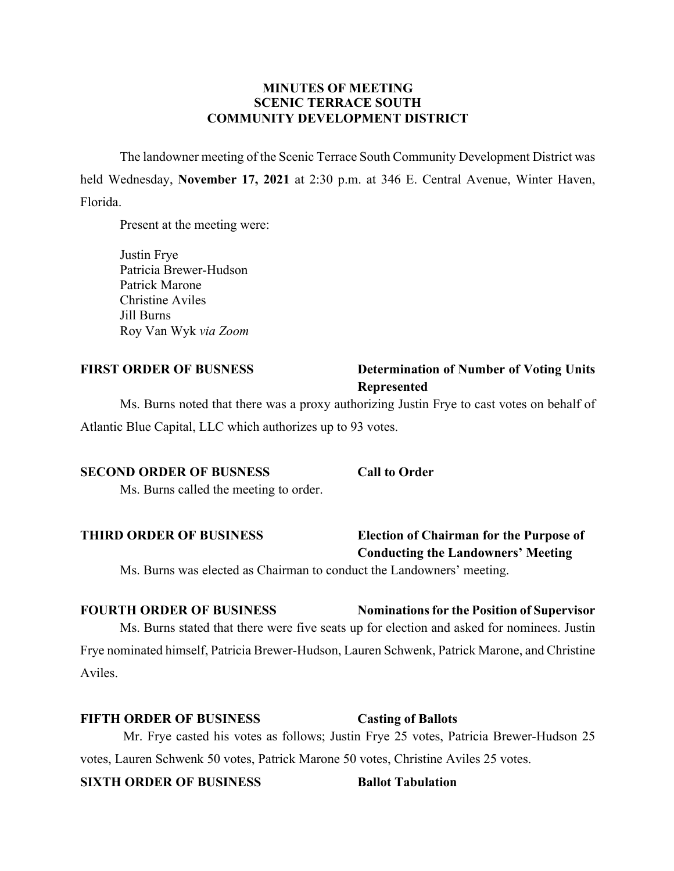## **MINUTES OF MEETING SCENIC TERRACE SOUTH COMMUNITY DEVELOPMENT DISTRICT**

The landowner meeting of the Scenic Terrace South Community Development District was held Wednesday, **November 17, 2021** at 2:30 p.m. at 346 E. Central Avenue, Winter Haven, Florida.

Present at the meeting were:

Justin Frye Patricia Brewer-Hudson Patrick Marone Christine Aviles Jill Burns Roy Van Wyk *via Zoom*

# **FIRST ORDER OF BUSNESS Determination of Number of Voting Units Represented**

Ms. Burns noted that there was a proxy authorizing Justin Frye to cast votes on behalf of Atlantic Blue Capital, LLC which authorizes up to 93 votes.

### **SECOND ORDER OF BUSNESS Call to Order**

Ms. Burns called the meeting to order.

## **THIRD ORDER OF BUSINESS Election of Chairman for the Purpose of Conducting the Landowners' Meeting**

Ms. Burns was elected as Chairman to conduct the Landowners' meeting.

# **FOURTH ORDER OF BUSINESS Nominations for the Position of Supervisor** Ms. Burns stated that there were five seats up for election and asked for nominees. Justin Frye nominated himself, Patricia Brewer-Hudson, Lauren Schwenk, Patrick Marone, and Christine Aviles.

## **FIFTH ORDER OF BUSINESS Casting of Ballots**

Mr. Frye casted his votes as follows; Justin Frye 25 votes, Patricia Brewer-Hudson 25 votes, Lauren Schwenk 50 votes, Patrick Marone 50 votes, Christine Aviles 25 votes.

## **SIXTH ORDER OF BUSINESS Ballot Tabulation**